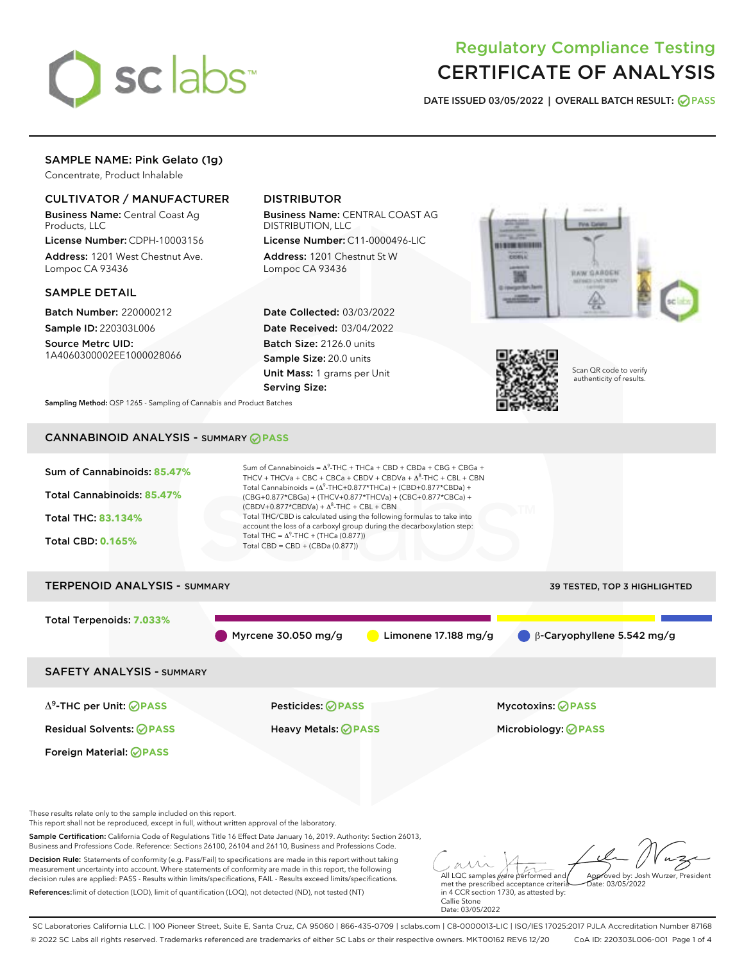

# Regulatory Compliance Testing CERTIFICATE OF ANALYSIS

DATE ISSUED 03/05/2022 | OVERALL BATCH RESULT: @ PASS

# SAMPLE NAME: Pink Gelato (1g)

Concentrate, Product Inhalable

# CULTIVATOR / MANUFACTURER

Business Name: Central Coast Ag Products, LLC

License Number: CDPH-10003156 Address: 1201 West Chestnut Ave. Lompoc CA 93436

### SAMPLE DETAIL

Batch Number: 220000212 Sample ID: 220303L006

Source Metrc UID: 1A4060300002EE1000028066

# DISTRIBUTOR

Business Name: CENTRAL COAST AG DISTRIBUTION, LLC

License Number: C11-0000496-LIC Address: 1201 Chestnut St W Lompoc CA 93436

Date Collected: 03/03/2022 Date Received: 03/04/2022 Batch Size: 2126.0 units Sample Size: 20.0 units Unit Mass: 1 grams per Unit Serving Size:





Scan QR code to verify authenticity of results.

Sampling Method: QSP 1265 - Sampling of Cannabis and Product Batches

# CANNABINOID ANALYSIS - SUMMARY **PASS**

| Sum of Cannabinoids: 85.47%<br>Total Cannabinoids: 85.47%<br><b>Total THC: 83.134%</b><br><b>Total CBD: 0.165%</b>                                                   | Sum of Cannabinoids = $\Delta^9$ -THC + THCa + CBD + CBDa + CBG + CBGa +<br>THCV + THCVa + CBC + CBCa + CBDV + CBDVa + $\Delta^8$ -THC + CBL + CBN<br>Total Cannabinoids = $(\Delta^9$ -THC+0.877*THCa) + (CBD+0.877*CBDa) +<br>(CBG+0.877*CBGa) + (THCV+0.877*THCVa) + (CBC+0.877*CBCa) +<br>$(CBDV+0.877*CBDVa) + \Delta^8$ -THC + CBL + CBN<br>Total THC/CBD is calculated using the following formulas to take into<br>account the loss of a carboxyl group during the decarboxylation step:<br>Total THC = $\Delta^9$ -THC + (THCa (0.877))<br>Total CBD = $CBD + (CBDa (0.877))$ |                                                                                                                                                                                                                       |  |
|----------------------------------------------------------------------------------------------------------------------------------------------------------------------|----------------------------------------------------------------------------------------------------------------------------------------------------------------------------------------------------------------------------------------------------------------------------------------------------------------------------------------------------------------------------------------------------------------------------------------------------------------------------------------------------------------------------------------------------------------------------------------|-----------------------------------------------------------------------------------------------------------------------------------------------------------------------------------------------------------------------|--|
| <b>TERPENOID ANALYSIS - SUMMARY</b>                                                                                                                                  |                                                                                                                                                                                                                                                                                                                                                                                                                                                                                                                                                                                        | 39 TESTED, TOP 3 HIGHLIGHTED                                                                                                                                                                                          |  |
| <b>Total Terpenoids: 7.033%</b>                                                                                                                                      | Myrcene 30.050 mg/g                                                                                                                                                                                                                                                                                                                                                                                                                                                                                                                                                                    | β-Caryophyllene 5.542 mg/g<br>Limonene $17.188$ mg/g                                                                                                                                                                  |  |
| <b>SAFETY ANALYSIS - SUMMARY</b>                                                                                                                                     |                                                                                                                                                                                                                                                                                                                                                                                                                                                                                                                                                                                        |                                                                                                                                                                                                                       |  |
| $\Delta^9$ -THC per Unit: <b>OPASS</b>                                                                                                                               | <b>Pesticides: ⊘ PASS</b>                                                                                                                                                                                                                                                                                                                                                                                                                                                                                                                                                              | <b>Mycotoxins: ⊘PASS</b>                                                                                                                                                                                              |  |
| <b>Residual Solvents: ⊘PASS</b>                                                                                                                                      | <b>Heavy Metals: ⊘ PASS</b>                                                                                                                                                                                                                                                                                                                                                                                                                                                                                                                                                            | Microbiology: <b>⊘PASS</b>                                                                                                                                                                                            |  |
| Foreign Material: <b>⊘ PASS</b>                                                                                                                                      |                                                                                                                                                                                                                                                                                                                                                                                                                                                                                                                                                                                        |                                                                                                                                                                                                                       |  |
| These results relate only to the sample included on this report.<br>This report shall not be reproduced, except in full, without written approval of the laboratory. |                                                                                                                                                                                                                                                                                                                                                                                                                                                                                                                                                                                        |                                                                                                                                                                                                                       |  |
|                                                                                                                                                                      | Sample Certification: California Code of Regulations Title 16 Effect Date January 16, 2019. Authority: Section 26013,<br>Business and Professions Code, Reference: Sections 26100, 26104 and 26110, Business and Professions Code,                                                                                                                                                                                                                                                                                                                                                     |                                                                                                                                                                                                                       |  |
| References: limit of detection (LOD), limit of quantification (LOQ), not detected (ND), not tested (NT)                                                              | Decision Rule: Statements of conformity (e.g. Pass/Fail) to specifications are made in this report without taking<br>measurement uncertainty into account. Where statements of conformity are made in this report, the following<br>decision rules are applied: PASS - Results within limits/specifications, FAIL - Results exceed limits/specifications.                                                                                                                                                                                                                              | All LQC samples were performed and<br>Approved by: Josh Wurzer, President<br>met the prescribed acceptance criteria<br>Date: 03/05/2022<br>in 4 CCR section 1730, as attested by:<br>Callie Stone<br>Date: 03/05/2022 |  |

SC Laboratories California LLC. | 100 Pioneer Street, Suite E, Santa Cruz, CA 95060 | 866-435-0709 | sclabs.com | C8-0000013-LIC | ISO/IES 17025:2017 PJLA Accreditation Number 87168 © 2022 SC Labs all rights reserved. Trademarks referenced are trademarks of either SC Labs or their respective owners. MKT00162 REV6 12/20 CoA ID: 220303L006-001 Page 1 of 4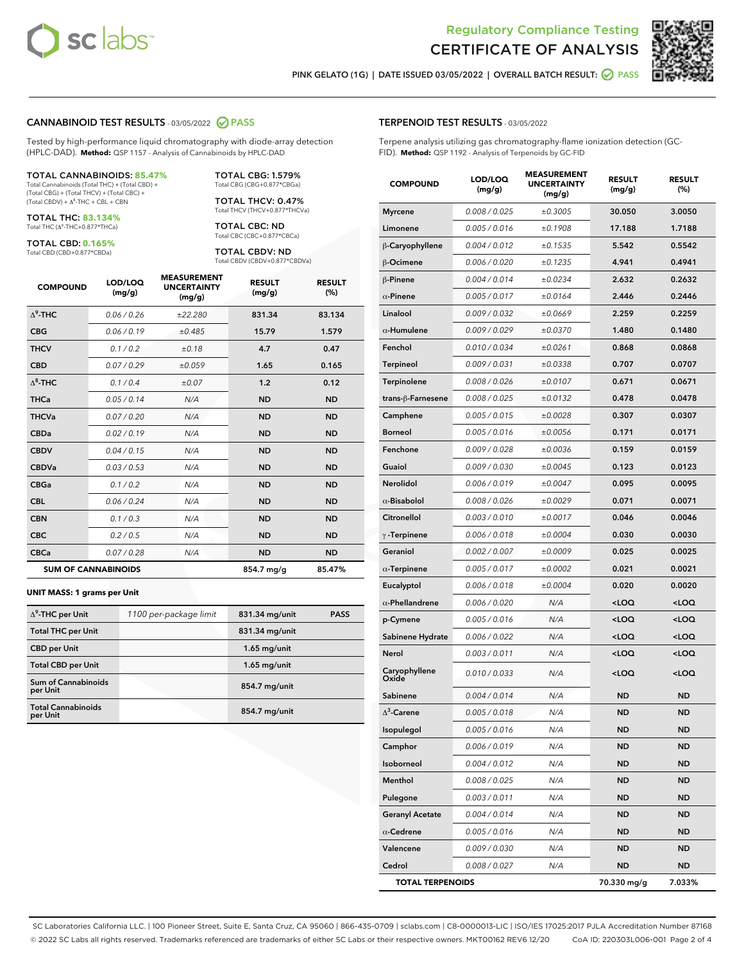



PINK GELATO (1G) | DATE ISSUED 03/05/2022 | OVERALL BATCH RESULT: O PASS

#### CANNABINOID TEST RESULTS - 03/05/2022 2 PASS

Tested by high-performance liquid chromatography with diode-array detection (HPLC-DAD). **Method:** QSP 1157 - Analysis of Cannabinoids by HPLC-DAD

#### TOTAL CANNABINOIDS: **85.47%**

Total Cannabinoids (Total THC) + (Total CBD) + (Total CBG) + (Total THCV) + (Total CBC) +  $(Total$  CBDV) +  $\Delta$ <sup>8</sup>-THC + CBL + CBN

TOTAL THC: **83.134%** Total THC (Δ<sup>9</sup> -THC+0.877\*THCa)

TOTAL CBD: **0.165%**

Total CBD (CBD+0.877\*CBDa)

TOTAL CBG: 1.579% Total CBG (CBG+0.877\*CBGa)

TOTAL THCV: 0.47% Total THCV (THCV+0.877\*THCVa)

TOTAL CBC: ND Total CBC (CBC+0.877\*CBCa)

TOTAL CBDV: ND Total CBDV (CBDV+0.877\*CBDVa)

| <b>COMPOUND</b>  | LOD/LOQ<br>(mg/g)          | <b>MEASUREMENT</b><br><b>UNCERTAINTY</b><br>(mg/g) | <b>RESULT</b><br>(mg/g) | <b>RESULT</b><br>(%) |
|------------------|----------------------------|----------------------------------------------------|-------------------------|----------------------|
| $\Lambda^9$ -THC | 0.06/0.26                  | ±22.280                                            | 831.34                  | 83.134               |
| <b>CBG</b>       | 0.06/0.19                  | ±0.485                                             | 15.79                   | 1.579                |
| <b>THCV</b>      | 0.1/0.2                    | ±0.18                                              | 4.7                     | 0.47                 |
| <b>CBD</b>       | 0.07/0.29                  | ±0.059                                             | 1.65                    | 0.165                |
| $\Delta^8$ -THC  | 0.1/0.4                    | ±0.07                                              | 1.2                     | 0.12                 |
| <b>THCa</b>      | 0.05/0.14                  | N/A                                                | <b>ND</b>               | <b>ND</b>            |
| <b>THCVa</b>     | 0.07/0.20                  | N/A                                                | <b>ND</b>               | <b>ND</b>            |
| <b>CBDa</b>      | 0.02/0.19                  | N/A                                                | <b>ND</b>               | <b>ND</b>            |
| <b>CBDV</b>      | 0.04/0.15                  | N/A                                                | <b>ND</b>               | <b>ND</b>            |
| <b>CBDVa</b>     | 0.03/0.53                  | N/A                                                | <b>ND</b>               | <b>ND</b>            |
| <b>CBGa</b>      | 0.1 / 0.2                  | N/A                                                | <b>ND</b>               | <b>ND</b>            |
| <b>CBL</b>       | 0.06 / 0.24                | N/A                                                | <b>ND</b>               | <b>ND</b>            |
| <b>CBN</b>       | 0.1/0.3                    | N/A                                                | <b>ND</b>               | <b>ND</b>            |
| <b>CBC</b>       | 0.2 / 0.5                  | N/A                                                | <b>ND</b>               | <b>ND</b>            |
| <b>CBCa</b>      | 0.07 / 0.28                | N/A                                                | <b>ND</b>               | <b>ND</b>            |
|                  | <b>SUM OF CANNABINOIDS</b> |                                                    | 854.7 mg/g              | 85.47%               |

#### **UNIT MASS: 1 grams per Unit**

| $\Delta^9$ -THC per Unit               | 1100 per-package limit | 831.34 mg/unit | <b>PASS</b> |
|----------------------------------------|------------------------|----------------|-------------|
|                                        |                        |                |             |
| <b>Total THC per Unit</b>              |                        | 831.34 mg/unit |             |
| <b>CBD per Unit</b>                    |                        | $1.65$ mg/unit |             |
| <b>Total CBD per Unit</b>              |                        | $1.65$ mg/unit |             |
| <b>Sum of Cannabinoids</b><br>per Unit |                        | 854.7 mg/unit  |             |
| <b>Total Cannabinoids</b><br>per Unit  |                        | 854.7 mg/unit  |             |

| <b>COMPOUND</b>         | LOD/LOQ<br>(mg/g) | WENT<br><b>UNCERTAINTY</b><br>(mg/g) | <b>RESULT</b><br>(mg/g)                         | <b>RESULT</b><br>(%) |
|-------------------------|-------------------|--------------------------------------|-------------------------------------------------|----------------------|
| <b>Myrcene</b>          | 0.008 / 0.025     | ±0.3005                              | 30.050                                          | 3.0050               |
| Limonene                | 0.005 / 0.016     | ±0.1908                              | 17.188                                          | 1.7188               |
| β-Caryophyllene         | 0.004 / 0.012     | ±0.1535                              | 5.542                                           | 0.5542               |
| β-Ocimene               | 0.006 / 0.020     | ±0.1235                              | 4.941                                           | 0.4941               |
| $\beta$ -Pinene         | 0.004 / 0.014     | ±0.0234                              | 2.632                                           | 0.2632               |
| $\alpha$ -Pinene        | 0.005 / 0.017     | ±0.0164                              | 2.446                                           | 0.2446               |
| Linalool                | 0.009 / 0.032     | ±0.0669                              | 2.259                                           | 0.2259               |
| $\alpha$ -Humulene      | 0.009/0.029       | ±0.0370                              | 1.480                                           | 0.1480               |
| Fenchol                 | 0.010 / 0.034     | ±0.0261                              | 0.868                                           | 0.0868               |
| Terpineol               | 0.009 / 0.031     | ±0.0338                              | 0.707                                           | 0.0707               |
| <b>Terpinolene</b>      | 0.008 / 0.026     | ±0.0107                              | 0.671                                           | 0.0671               |
| trans-β-Farnesene       | 0.008 / 0.025     | ±0.0132                              | 0.478                                           | 0.0478               |
| Camphene                | 0.005 / 0.015     | ±0.0028                              | 0.307                                           | 0.0307               |
| <b>Borneol</b>          | 0.005 / 0.016     | ±0.0056                              | 0.171                                           | 0.0171               |
| Fenchone                | 0.009 / 0.028     | ±0.0036                              | 0.159                                           | 0.0159               |
| Guaiol                  | 0.009 / 0.030     | ±0.0045                              | 0.123                                           | 0.0123               |
| Nerolidol               | 0.006 / 0.019     | ±0.0047                              | 0.095                                           | 0.0095               |
| $\alpha$ -Bisabolol     | 0.008 / 0.026     | ±0.0029                              | 0.071                                           | 0.0071               |
| Citronellol             | 0.003 / 0.010     | ±0.0017                              | 0.046                                           | 0.0046               |
| $\gamma$ -Terpinene     | 0.006 / 0.018     | ±0.0004                              | 0.030                                           | 0.0030               |
| Geraniol                | 0.002 / 0.007     | ±0.0009                              | 0.025                                           | 0.0025               |
| $\alpha$ -Terpinene     | 0.005 / 0.017     | ±0.0002                              | 0.021                                           | 0.0021               |
| Eucalyptol              | 0.006 / 0.018     | ±0.0004                              | 0.020                                           | 0.0020               |
| $\alpha$ -Phellandrene  | 0.006 / 0.020     | N/A                                  | <loq< th=""><th><loq< th=""></loq<></th></loq<> | <loq< th=""></loq<>  |
| p-Cymene                | 0.005 / 0.016     | N/A                                  | <loq< th=""><th><loq< th=""></loq<></th></loq<> | <loq< th=""></loq<>  |
| Sabinene Hydrate        | 0.006 / 0.022     | N/A                                  | <loq< th=""><th><loq< th=""></loq<></th></loq<> | <loq< th=""></loq<>  |
| Nerol                   | 0.003 / 0.011     | N/A                                  | <loq< th=""><th><loq< th=""></loq<></th></loq<> | <loq< th=""></loq<>  |
| Caryophyllene<br>Oxide  | 0.010 / 0.033     | N/A                                  | <loq< th=""><th><loq< th=""></loq<></th></loq<> | <loq< th=""></loq<>  |
| Sabinene                | 0.004 / 0.014     | N/A                                  | <b>ND</b>                                       | <b>ND</b>            |
| $\Delta^3$ -Carene      | 0.005 / 0.018     | N/A                                  | <b>ND</b>                                       | <b>ND</b>            |
| Isopulegol              | 0.005 / 0.016     | N/A                                  | ND                                              | <b>ND</b>            |
| Camphor                 | 0.006 / 0.019     | N/A                                  | ND                                              | ND                   |
| Isoborneol              | 0.004 / 0.012     | N/A                                  | <b>ND</b>                                       | ND                   |
| Menthol                 | 0.008 / 0.025     | N/A                                  | ND                                              | ND                   |
| Pulegone                | 0.003 / 0.011     | N/A                                  | ND                                              | ND                   |
| <b>Geranyl Acetate</b>  | 0.004 / 0.014     | N/A                                  | <b>ND</b>                                       | ND                   |
| $\alpha$ -Cedrene       | 0.005 / 0.016     | N/A                                  | ND                                              | ND                   |
| Valencene               | 0.009 / 0.030     | N/A                                  | ND                                              | ND                   |
| Cedrol                  | 0.008 / 0.027     | N/A                                  | <b>ND</b>                                       | <b>ND</b>            |
| <b>TOTAL TERPENOIDS</b> |                   |                                      | 70.330 mg/g                                     | 7.033%               |

SC Laboratories California LLC. | 100 Pioneer Street, Suite E, Santa Cruz, CA 95060 | 866-435-0709 | sclabs.com | C8-0000013-LIC | ISO/IES 17025:2017 PJLA Accreditation Number 87168 © 2022 SC Labs all rights reserved. Trademarks referenced are trademarks of either SC Labs or their respective owners. MKT00162 REV6 12/20 CoA ID: 220303L006-001 Page 2 of 4

# TERPENOID TEST RESULTS - 03/05/2022

Terpene analysis utilizing gas chromatography-flame ionization detection (GC-FID). **Method:** QSP 1192 - Analysis of Terpenoids by GC-FID

MEASUREMENT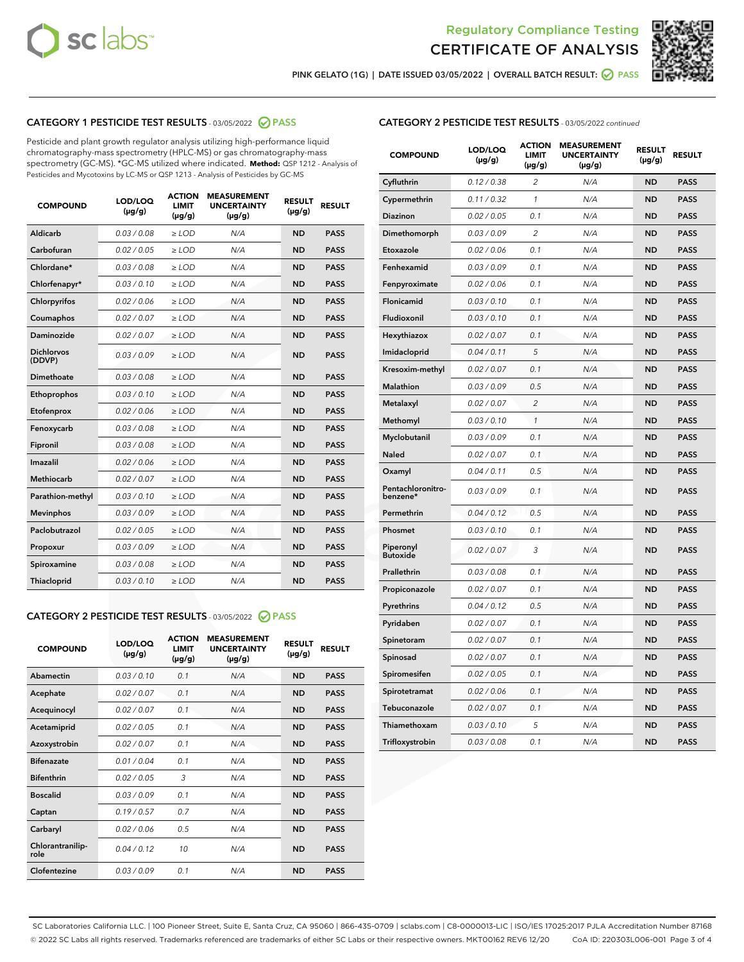



PINK GELATO (1G) | DATE ISSUED 03/05/2022 | OVERALL BATCH RESULT: 2 PASS

# CATEGORY 1 PESTICIDE TEST RESULTS - 03/05/2022 2 PASS

Pesticide and plant growth regulator analysis utilizing high-performance liquid chromatography-mass spectrometry (HPLC-MS) or gas chromatography-mass spectrometry (GC-MS). \*GC-MS utilized where indicated. **Method:** QSP 1212 - Analysis of Pesticides and Mycotoxins by LC-MS or QSP 1213 - Analysis of Pesticides by GC-MS

| <b>COMPOUND</b>             | LOD/LOQ<br>$(\mu g/g)$ | <b>ACTION</b><br><b>LIMIT</b><br>$(\mu g/g)$ | <b>MEASUREMENT</b><br><b>UNCERTAINTY</b><br>$(\mu g/g)$ | <b>RESULT</b><br>$(\mu g/g)$ | <b>RESULT</b> |
|-----------------------------|------------------------|----------------------------------------------|---------------------------------------------------------|------------------------------|---------------|
| Aldicarb                    | 0.03 / 0.08            | $>$ LOD                                      | N/A                                                     | <b>ND</b>                    | <b>PASS</b>   |
| Carbofuran                  | 0.02 / 0.05            | ≥ LOD                                        | N/A                                                     | <b>ND</b>                    | <b>PASS</b>   |
| Chlordane*                  | 0.03/0.08              | $>$ LOD                                      | N/A                                                     | <b>ND</b>                    | <b>PASS</b>   |
| Chlorfenapyr*               | 0.03/0.10              | $>$ LOD                                      | N/A                                                     | <b>ND</b>                    | <b>PASS</b>   |
| Chlorpyrifos                | 0.02/0.06              | $>$ LOD                                      | N/A                                                     | <b>ND</b>                    | <b>PASS</b>   |
| Coumaphos                   | 0.02 / 0.07            | $>$ LOD                                      | N/A                                                     | <b>ND</b>                    | <b>PASS</b>   |
| <b>Daminozide</b>           | 0.02 / 0.07            | $\ge$ LOD                                    | N/A                                                     | <b>ND</b>                    | <b>PASS</b>   |
| <b>Dichlorvos</b><br>(DDVP) | 0.03/0.09              | $>$ LOD                                      | N/A                                                     | <b>ND</b>                    | <b>PASS</b>   |
| Dimethoate                  | 0.03 / 0.08            | $>$ LOD                                      | N/A                                                     | <b>ND</b>                    | <b>PASS</b>   |
| Ethoprophos                 | 0.03/0.10              | $>$ LOD                                      | N/A                                                     | <b>ND</b>                    | <b>PASS</b>   |
| Etofenprox                  | 0.02 / 0.06            | $\geq$ LOD                                   | N/A                                                     | <b>ND</b>                    | <b>PASS</b>   |
| Fenoxycarb                  | 0.03/0.08              | $>$ LOD                                      | N/A                                                     | <b>ND</b>                    | <b>PASS</b>   |
| Fipronil                    | 0.03 / 0.08            | $\geq$ LOD                                   | N/A                                                     | <b>ND</b>                    | <b>PASS</b>   |
| Imazalil                    | 0.02 / 0.06            | $\ge$ LOD                                    | N/A                                                     | <b>ND</b>                    | <b>PASS</b>   |
| <b>Methiocarb</b>           | 0.02 / 0.07            | $\ge$ LOD                                    | N/A                                                     | <b>ND</b>                    | <b>PASS</b>   |
| Parathion-methyl            | 0.03/0.10              | $\ge$ LOD                                    | N/A                                                     | <b>ND</b>                    | <b>PASS</b>   |
| <b>Mevinphos</b>            | 0.03/0.09              | $\ge$ LOD                                    | N/A                                                     | <b>ND</b>                    | <b>PASS</b>   |
| Paclobutrazol               | 0.02 / 0.05            | $\ge$ LOD                                    | N/A                                                     | <b>ND</b>                    | <b>PASS</b>   |
| Propoxur                    | 0.03/0.09              | $\geq$ LOD                                   | N/A                                                     | <b>ND</b>                    | <b>PASS</b>   |
| Spiroxamine                 | 0.03 / 0.08            | $\ge$ LOD                                    | N/A                                                     | <b>ND</b>                    | <b>PASS</b>   |
| Thiacloprid                 | 0.03/0.10              | $>$ LOD                                      | N/A                                                     | <b>ND</b>                    | <b>PASS</b>   |

# CATEGORY 2 PESTICIDE TEST RESULTS - 03/05/2022 @ PASS

| <b>COMPOUND</b>          | LOD/LOQ<br>$(\mu g/g)$ | <b>ACTION</b><br><b>LIMIT</b><br>$(\mu g/g)$ | <b>MEASUREMENT</b><br><b>UNCERTAINTY</b><br>$(\mu g/g)$ | <b>RESULT</b><br>$(\mu g/g)$ | <b>RESULT</b> |
|--------------------------|------------------------|----------------------------------------------|---------------------------------------------------------|------------------------------|---------------|
| Abamectin                | 0.03/0.10              | 0.1                                          | N/A                                                     | <b>ND</b>                    | <b>PASS</b>   |
| Acephate                 | 0.02/0.07              | 0.1                                          | N/A                                                     | <b>ND</b>                    | <b>PASS</b>   |
| Acequinocyl              | 0.02/0.07              | 0.1                                          | N/A                                                     | <b>ND</b>                    | <b>PASS</b>   |
| Acetamiprid              | 0.02/0.05              | 0.1                                          | N/A                                                     | <b>ND</b>                    | <b>PASS</b>   |
| Azoxystrobin             | 0.02 / 0.07            | 0.1                                          | N/A                                                     | <b>ND</b>                    | <b>PASS</b>   |
| <b>Bifenazate</b>        | 0.01/0.04              | 0.1                                          | N/A                                                     | <b>ND</b>                    | <b>PASS</b>   |
| <b>Bifenthrin</b>        | 0.02 / 0.05            | 3                                            | N/A                                                     | <b>ND</b>                    | <b>PASS</b>   |
| <b>Boscalid</b>          | 0.03/0.09              | 0.1                                          | N/A                                                     | <b>ND</b>                    | <b>PASS</b>   |
| Captan                   | 0.19/0.57              | 0.7                                          | N/A                                                     | <b>ND</b>                    | <b>PASS</b>   |
| Carbaryl                 | 0.02/0.06              | 0.5                                          | N/A                                                     | <b>ND</b>                    | <b>PASS</b>   |
| Chlorantranilip-<br>role | 0.04/0.12              | 10                                           | N/A                                                     | <b>ND</b>                    | <b>PASS</b>   |
| Clofentezine             | 0.03/0.09              | 0.1                                          | N/A                                                     | <b>ND</b>                    | <b>PASS</b>   |

# CATEGORY 2 PESTICIDE TEST RESULTS - 03/05/2022 continued

| <b>COMPOUND</b>               | LOD/LOQ<br>(µg/g) | <b>ACTION</b><br>LIMIT<br>$(\mu g/g)$ | <b>MEASUREMENT</b><br><b>UNCERTAINTY</b><br>(µg/g) | <b>RESULT</b><br>(µg/g) | <b>RESULT</b> |
|-------------------------------|-------------------|---------------------------------------|----------------------------------------------------|-------------------------|---------------|
| Cyfluthrin                    | 0.12 / 0.38       | 2                                     | N/A                                                | <b>ND</b>               | <b>PASS</b>   |
| Cypermethrin                  | 0.11 / 0.32       | 1                                     | N/A                                                | <b>ND</b>               | <b>PASS</b>   |
| Diazinon                      | 0.02 / 0.05       | 0.1                                   | N/A                                                | ND                      | <b>PASS</b>   |
| Dimethomorph                  | 0.03 / 0.09       | $\overline{2}$                        | N/A                                                | <b>ND</b>               | <b>PASS</b>   |
| Etoxazole                     | 0.02 / 0.06       | 0.1                                   | N/A                                                | <b>ND</b>               | <b>PASS</b>   |
| Fenhexamid                    | 0.03 / 0.09       | 0.1                                   | N/A                                                | ND                      | <b>PASS</b>   |
| Fenpyroximate                 | 0.02 / 0.06       | 0.1                                   | N/A                                                | <b>ND</b>               | <b>PASS</b>   |
| Flonicamid                    | 0.03 / 0.10       | 0.1                                   | N/A                                                | <b>ND</b>               | <b>PASS</b>   |
| Fludioxonil                   | 0.03 / 0.10       | 0.1                                   | N/A                                                | <b>ND</b>               | <b>PASS</b>   |
| Hexythiazox                   | 0.02 / 0.07       | 0.1                                   | N/A                                                | <b>ND</b>               | <b>PASS</b>   |
| Imidacloprid                  | 0.04 / 0.11       | 5                                     | N/A                                                | <b>ND</b>               | <b>PASS</b>   |
| Kresoxim-methyl               | 0.02 / 0.07       | 0.1                                   | N/A                                                | <b>ND</b>               | <b>PASS</b>   |
| <b>Malathion</b>              | 0.03 / 0.09       | 0.5                                   | N/A                                                | <b>ND</b>               | <b>PASS</b>   |
| Metalaxyl                     | 0.02 / 0.07       | $\overline{c}$                        | N/A                                                | <b>ND</b>               | <b>PASS</b>   |
| Methomyl                      | 0.03 / 0.10       | 1                                     | N/A                                                | <b>ND</b>               | <b>PASS</b>   |
| Myclobutanil                  | 0.03 / 0.09       | 0.1                                   | N/A                                                | <b>ND</b>               | <b>PASS</b>   |
| Naled                         | 0.02 / 0.07       | 0.1                                   | N/A                                                | <b>ND</b>               | <b>PASS</b>   |
| Oxamyl                        | 0.04 / 0.11       | 0.5                                   | N/A                                                | <b>ND</b>               | <b>PASS</b>   |
| Pentachloronitro-<br>benzene* | 0.03 / 0.09       | 0.1                                   | N/A                                                | <b>ND</b>               | <b>PASS</b>   |
| Permethrin                    | 0.04 / 0.12       | 0.5                                   | N/A                                                | <b>ND</b>               | <b>PASS</b>   |
| Phosmet                       | 0.03 / 0.10       | 0.1                                   | N/A                                                | <b>ND</b>               | <b>PASS</b>   |
| Piperonyl<br><b>Butoxide</b>  | 0.02 / 0.07       | 3                                     | N/A                                                | <b>ND</b>               | <b>PASS</b>   |
| Prallethrin                   | 0.03 / 0.08       | 0.1                                   | N/A                                                | <b>ND</b>               | <b>PASS</b>   |
| Propiconazole                 | 0.02 / 0.07       | 0.1                                   | N/A                                                | <b>ND</b>               | <b>PASS</b>   |
| Pyrethrins                    | 0.04 / 0.12       | 0.5                                   | N/A                                                | ND                      | <b>PASS</b>   |
| Pyridaben                     | 0.02 / 0.07       | 0.1                                   | N/A                                                | <b>ND</b>               | <b>PASS</b>   |
| Spinetoram                    | 0.02 / 0.07       | 0.1                                   | N/A                                                | <b>ND</b>               | <b>PASS</b>   |
| Spinosad                      | 0.02 / 0.07       | 0.1                                   | N/A                                                | ND                      | <b>PASS</b>   |
| Spiromesifen                  | 0.02 / 0.05       | 0.1                                   | N/A                                                | <b>ND</b>               | <b>PASS</b>   |
| Spirotetramat                 | 0.02 / 0.06       | 0.1                                   | N/A                                                | <b>ND</b>               | <b>PASS</b>   |
| Tebuconazole                  | 0.02 / 0.07       | 0.1                                   | N/A                                                | <b>ND</b>               | <b>PASS</b>   |
| Thiamethoxam                  | 0.03 / 0.10       | 5                                     | N/A                                                | <b>ND</b>               | <b>PASS</b>   |
| Trifloxystrobin               | 0.03 / 0.08       | 0.1                                   | N/A                                                | <b>ND</b>               | <b>PASS</b>   |

SC Laboratories California LLC. | 100 Pioneer Street, Suite E, Santa Cruz, CA 95060 | 866-435-0709 | sclabs.com | C8-0000013-LIC | ISO/IES 17025:2017 PJLA Accreditation Number 87168 © 2022 SC Labs all rights reserved. Trademarks referenced are trademarks of either SC Labs or their respective owners. MKT00162 REV6 12/20 CoA ID: 220303L006-001 Page 3 of 4